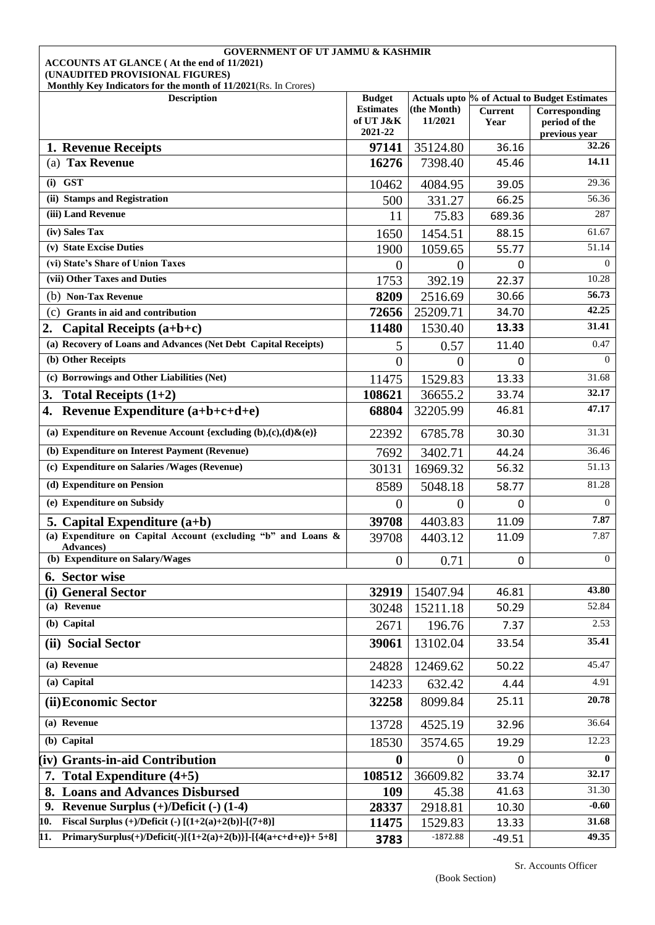| <b>GOVERNMENT OF UT JAMMU &amp; KASHMIR</b><br>ACCOUNTS AT GLANCE (At the end of 11/2021)         |                               |                        |                        |                                              |  |  |
|---------------------------------------------------------------------------------------------------|-------------------------------|------------------------|------------------------|----------------------------------------------|--|--|
| (UNAUDITED PROVISIONAL FIGURES)<br>Monthly Key Indicators for the month of 11/2021(Rs. In Crores) |                               |                        |                        |                                              |  |  |
| <b>Description</b>                                                                                | <b>Budget</b>                 |                        |                        | Actuals upto % of Actual to Budget Estimates |  |  |
|                                                                                                   | <b>Estimates</b><br>of UT J&K | (the Month)<br>11/2021 | <b>Current</b><br>Year | Corresponding<br>period of the               |  |  |
|                                                                                                   | 2021-22                       |                        |                        | previous year                                |  |  |
| 1. Revenue Receipts                                                                               | 97141                         | 35124.80               | 36.16                  | 32.26<br>14.11                               |  |  |
| (a) Tax Revenue                                                                                   | 16276                         | 7398.40                | 45.46                  |                                              |  |  |
| $(i)$ GST                                                                                         | 10462                         | 4084.95                | 39.05                  | 29.36                                        |  |  |
| (ii) Stamps and Registration                                                                      | 500                           | 331.27                 | 66.25                  | 56.36                                        |  |  |
| (iii) Land Revenue                                                                                | 11                            | 75.83                  | 689.36                 | 287                                          |  |  |
| (iv) Sales Tax                                                                                    | 1650                          | 1454.51                | 88.15                  | 61.67                                        |  |  |
| (v) State Excise Duties                                                                           | 1900                          | 1059.65                | 55.77                  | 51.14                                        |  |  |
| (vi) State's Share of Union Taxes<br>(vii) Other Taxes and Duties                                 | $\overline{0}$                | $\overline{0}$         | 0                      | $\Omega$                                     |  |  |
|                                                                                                   | 1753                          | 392.19                 | 22.37                  | 10.28<br>56.73                               |  |  |
| (b) Non-Tax Revenue                                                                               | 8209<br>72656                 | 2516.69                | 30.66<br>34.70         | 42.25                                        |  |  |
| (c)<br>Grants in aid and contribution<br>2.                                                       | 11480                         | 25209.71<br>1530.40    | 13.33                  | 31.41                                        |  |  |
| Capital Receipts $(a+b+c)$<br>(a) Recovery of Loans and Advances (Net Debt Capital Receipts)      |                               |                        |                        | 0.47                                         |  |  |
| (b) Other Receipts                                                                                | 5<br>$\theta$                 | 0.57<br>0              | 11.40<br>0             | $\Omega$                                     |  |  |
| (c) Borrowings and Other Liabilities (Net)                                                        |                               |                        |                        | 31.68                                        |  |  |
|                                                                                                   | 11475<br>108621               | 1529.83                | 13.33<br>33.74         | 32.17                                        |  |  |
| Total Receipts $(1+2)$<br>3.<br>Revenue Expenditure (a+b+c+d+e)<br>4.                             | 68804                         | 36655.2<br>32205.99    | 46.81                  | 47.17                                        |  |  |
|                                                                                                   |                               |                        |                        |                                              |  |  |
| (a) Expenditure on Revenue Account {excluding $(b),(c),(d)\& (e)\}$                               | 22392                         | 6785.78                | 30.30                  | 31.31                                        |  |  |
| (b) Expenditure on Interest Payment (Revenue)                                                     | 7692                          | 3402.71                | 44.24                  | 36.46                                        |  |  |
| (c) Expenditure on Salaries /Wages (Revenue)                                                      | 30131                         | 16969.32               | 56.32                  | 51.13                                        |  |  |
| (d) Expenditure on Pension                                                                        | 8589                          | 5048.18                | 58.77                  | 81.28                                        |  |  |
| (e) Expenditure on Subsidy                                                                        | 0                             | $\overline{0}$         | $\mathbf{0}$           | $\overline{0}$                               |  |  |
| 5. Capital Expenditure $(a+b)$                                                                    | 39708                         | 4403.83                | 11.09                  | 7.87                                         |  |  |
| (a) Expenditure on Capital Account (excluding "b" and Loans &<br><b>Advances</b> )                | 39708                         | 4403.12                | 11.09                  | 7.87                                         |  |  |
| (b) Expenditure on Salary/Wages                                                                   | $\theta$                      | 0.71                   | 0                      | $\Omega$                                     |  |  |
| 6. Sector wise                                                                                    |                               |                        |                        |                                              |  |  |
| (i) General Sector                                                                                | 32919                         | 15407.94               | 46.81                  | 43.80                                        |  |  |
| (a) Revenue                                                                                       | 30248                         | 15211.18               | 50.29                  | 52.84                                        |  |  |
| (b) Capital                                                                                       | 2671                          | 196.76                 | 7.37                   | 2.53                                         |  |  |
| (ii) Social Sector                                                                                | 39061                         | 13102.04               | 33.54                  | 35.41                                        |  |  |
| (a) Revenue                                                                                       | 24828                         | 12469.62               | 50.22                  | 45.47                                        |  |  |
| (a) Capital                                                                                       | 14233                         | 632.42                 | 4.44                   | 4.91                                         |  |  |
| (ii) Economic Sector                                                                              | 32258                         | 8099.84                | 25.11                  | 20.78                                        |  |  |
| (a) Revenue                                                                                       | 13728                         | 4525.19                | 32.96                  | 36.64                                        |  |  |
| (b) Capital                                                                                       | 18530                         | 3574.65                | 19.29                  | 12.23                                        |  |  |
| (iv) Grants-in-aid Contribution                                                                   | $\bf{0}$                      | $\Omega$               | 0                      | $\mathbf{0}$                                 |  |  |
| 7. Total Expenditure $(4+5)$                                                                      | 108512                        | 36609.82               | 33.74                  | 32.17                                        |  |  |
| <b>Loans and Advances Disbursed</b>                                                               | 109                           | 45.38                  | 41.63                  | 31.30                                        |  |  |
| 9. Revenue Surplus $(+)/$ Deficit $(-)$ (1-4)                                                     | 28337                         | 2918.81                | 10.30                  | $-0.60$                                      |  |  |
| Fiscal Surplus (+)/Deficit (-) $[(1+2(a)+2(b)]-(7+8)]$<br>10.                                     | 11475                         | 1529.83                | 13.33                  | 31.68                                        |  |  |
| PrimarySurplus(+)/Deficit(-)[{1+2(a)+2(b)}]-[{4(a+c+d+e)}+ 5+8]<br>11.                            | 3783                          | $-1872.88$             | $-49.51$               | 49.35                                        |  |  |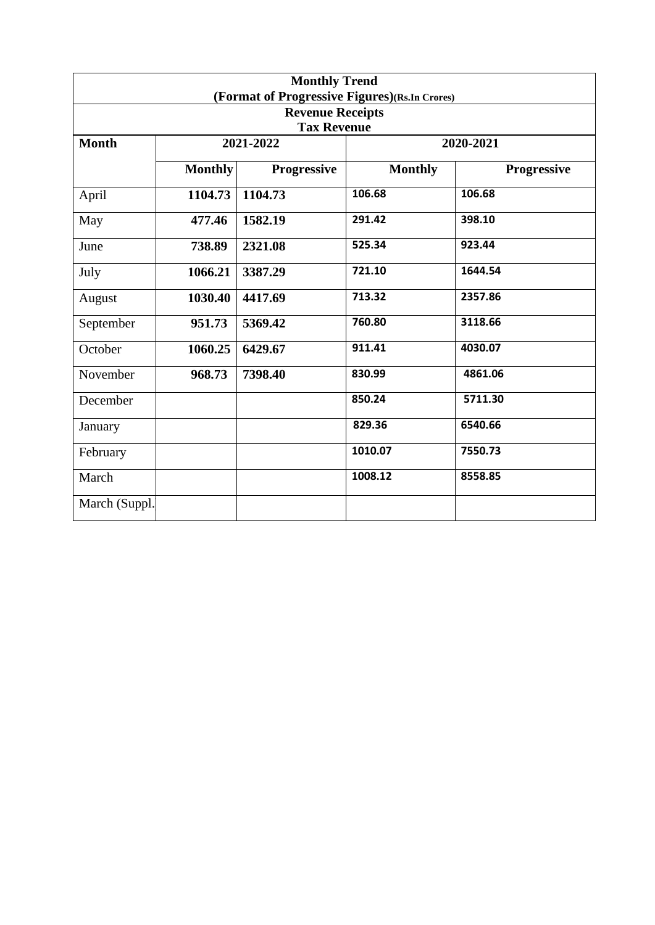| <b>Monthly Trend</b><br>(Format of Progressive Figures)(Rs.In Crores) |                |                    |                |                    |  |  |  |  |
|-----------------------------------------------------------------------|----------------|--------------------|----------------|--------------------|--|--|--|--|
| <b>Revenue Receipts</b>                                               |                |                    |                |                    |  |  |  |  |
|                                                                       |                | <b>Tax Revenue</b> |                |                    |  |  |  |  |
| <b>Month</b>                                                          |                | 2021-2022          | 2020-2021      |                    |  |  |  |  |
|                                                                       | <b>Monthly</b> | <b>Progressive</b> | <b>Monthly</b> | <b>Progressive</b> |  |  |  |  |
| April                                                                 | 1104.73        | 1104.73            | 106.68         | 106.68             |  |  |  |  |
| May                                                                   | 477.46         | 1582.19            | 291.42         | 398.10             |  |  |  |  |
| June                                                                  | 738.89         | 2321.08            | 525.34         | 923.44             |  |  |  |  |
| July                                                                  | 1066.21        | 3387.29            | 721.10         | 1644.54            |  |  |  |  |
| August                                                                | 1030.40        | 4417.69            | 713.32         | 2357.86            |  |  |  |  |
| September                                                             | 951.73         | 5369.42            | 760.80         | 3118.66            |  |  |  |  |
| October                                                               | 1060.25        | 6429.67            | 911.41         | 4030.07            |  |  |  |  |
| November                                                              | 968.73         | 7398.40            | 830.99         | 4861.06            |  |  |  |  |
| December                                                              |                |                    | 850.24         | 5711.30            |  |  |  |  |
| January                                                               |                |                    | 829.36         | 6540.66            |  |  |  |  |
| February                                                              |                |                    | 1010.07        | 7550.73            |  |  |  |  |
| March                                                                 |                |                    | 1008.12        | 8558.85            |  |  |  |  |
| March (Suppl.                                                         |                |                    |                |                    |  |  |  |  |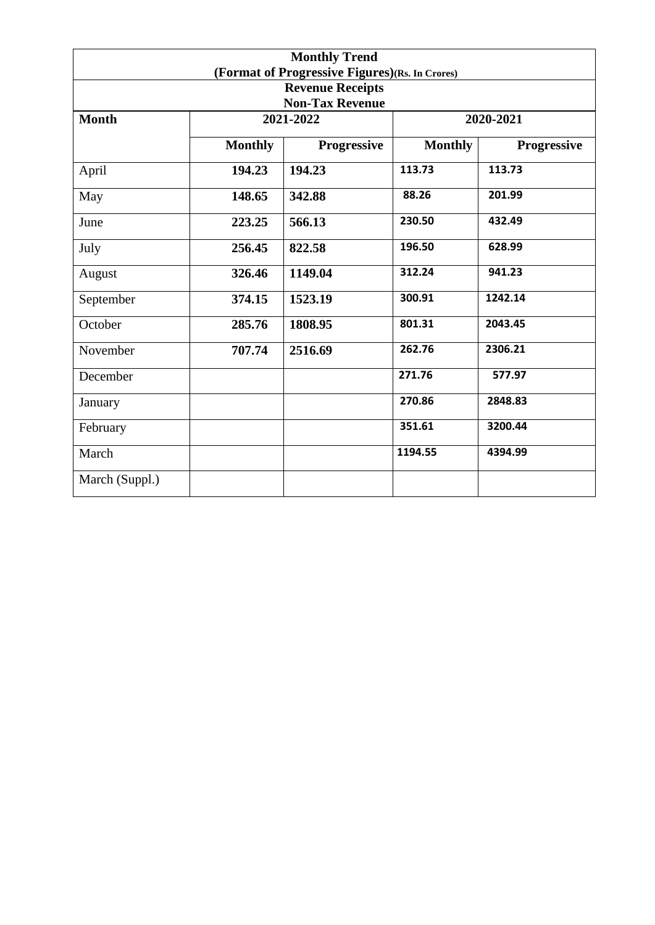|                                                   |                | <b>Monthly Trend</b> |                |                    |  |  |
|---------------------------------------------------|----------------|----------------------|----------------|--------------------|--|--|
| (Format of Progressive Figures)(Rs. In Crores)    |                |                      |                |                    |  |  |
| <b>Revenue Receipts</b><br><b>Non-Tax Revenue</b> |                |                      |                |                    |  |  |
| <b>Month</b>                                      |                | 2021-2022            |                | 2020-2021          |  |  |
|                                                   |                |                      |                |                    |  |  |
|                                                   | <b>Monthly</b> | Progressive          | <b>Monthly</b> | <b>Progressive</b> |  |  |
| April                                             | 194.23         | 194.23               | 113.73         | 113.73             |  |  |
| May                                               | 148.65         | 342.88               | 88.26          | 201.99             |  |  |
| June                                              | 223.25         | 566.13               | 230.50         | 432.49             |  |  |
| July                                              | 256.45         | 822.58               | 196.50         | 628.99             |  |  |
| August                                            | 326.46         | 1149.04              | 312.24         | 941.23             |  |  |
| September                                         | 374.15         | 1523.19              | 300.91         | 1242.14            |  |  |
| October                                           | 285.76         | 1808.95              | 801.31         | 2043.45            |  |  |
| November                                          | 707.74         | 2516.69              | 262.76         | 2306.21            |  |  |
| December                                          |                |                      | 271.76         | 577.97             |  |  |
| January                                           |                |                      | 270.86         | 2848.83            |  |  |
| February                                          |                |                      | 351.61         | 3200.44            |  |  |
| March                                             |                |                      | 1194.55        | 4394.99            |  |  |
| March (Suppl.)                                    |                |                      |                |                    |  |  |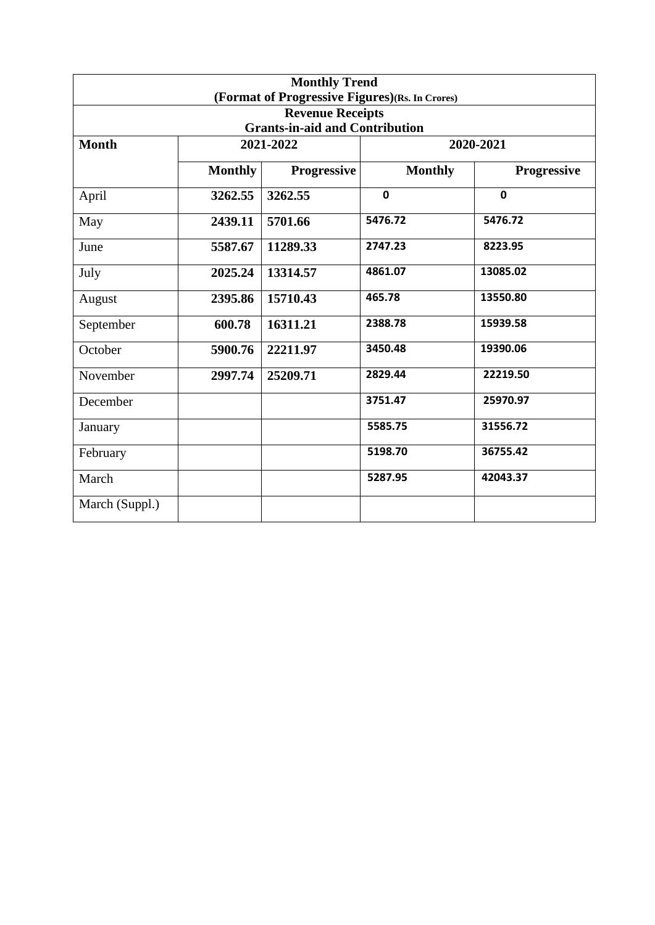| <b>Monthly Trend</b><br>(Format of Progressive Figures)(Rs. In Crores) |                |                                       |                |                    |  |
|------------------------------------------------------------------------|----------------|---------------------------------------|----------------|--------------------|--|
|                                                                        |                | <b>Revenue Receipts</b>               |                |                    |  |
|                                                                        |                | <b>Grants-in-aid and Contribution</b> |                |                    |  |
| <b>Month</b>                                                           |                | 2021-2022                             | 2020-2021      |                    |  |
|                                                                        | <b>Monthly</b> | <b>Progressive</b>                    | <b>Monthly</b> | <b>Progressive</b> |  |
| April                                                                  | 3262.55        | 3262.55                               | $\mathbf 0$    | $\mathbf 0$        |  |
| May                                                                    | 2439.11        | 5701.66                               | 5476.72        | 5476.72            |  |
| June                                                                   | 5587.67        | 11289.33                              | 2747.23        | 8223.95            |  |
| July                                                                   | 2025.24        | 13314.57                              | 4861.07        | 13085.02           |  |
| August                                                                 | 2395.86        | 15710.43                              | 465.78         | 13550.80           |  |
| September                                                              | 600.78         | 16311.21                              | 2388.78        | 15939.58           |  |
| October                                                                | 5900.76        | 22211.97                              | 3450.48        | 19390.06           |  |
| November                                                               | 2997.74        | 25209.71                              | 2829.44        | 22219.50           |  |
| December                                                               |                |                                       | 3751.47        | 25970.97           |  |
| January                                                                |                |                                       | 5585.75        | 31556.72           |  |
| February                                                               |                |                                       | 5198.70        | 36755.42           |  |
| March                                                                  |                |                                       | 5287.95        | 42043.37           |  |
| March (Suppl.)                                                         |                |                                       |                |                    |  |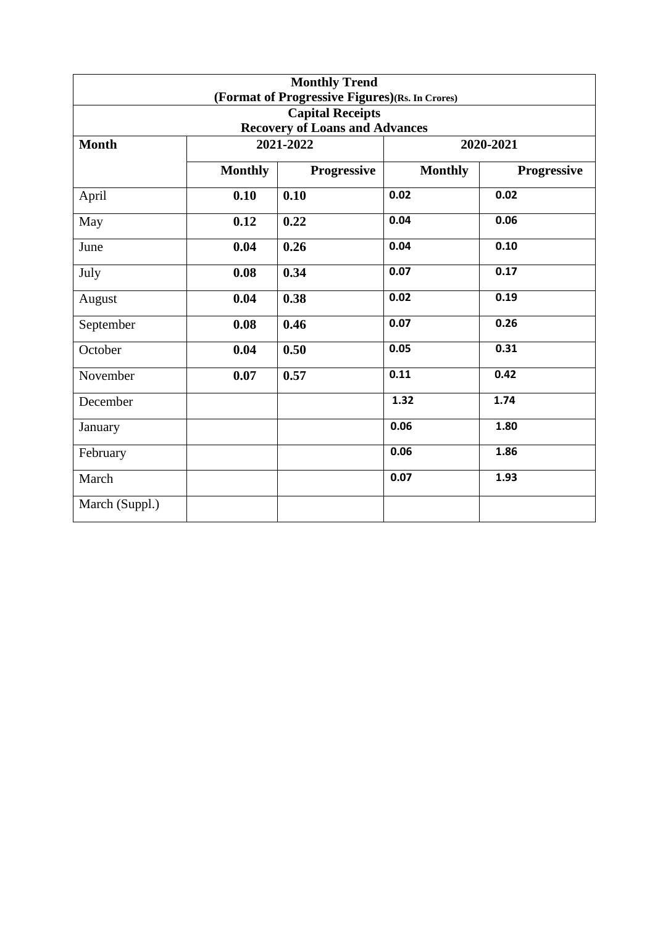|                                       |                | <b>Monthly Trend</b><br>(Format of Progressive Figures)(Rs. In Crores) |                |             |  |
|---------------------------------------|----------------|------------------------------------------------------------------------|----------------|-------------|--|
|                                       |                | <b>Capital Receipts</b>                                                |                |             |  |
| <b>Recovery of Loans and Advances</b> |                |                                                                        |                |             |  |
| <b>Month</b>                          |                | 2021-2022                                                              |                | 2020-2021   |  |
|                                       | <b>Monthly</b> | <b>Progressive</b>                                                     | <b>Monthly</b> | Progressive |  |
| April                                 | 0.10           | 0.10                                                                   | 0.02           | 0.02        |  |
| May                                   | 0.12           | 0.22                                                                   | 0.04           | 0.06        |  |
| June                                  | 0.04           | 0.26                                                                   | 0.04           | 0.10        |  |
| July                                  | 0.08           | 0.34                                                                   | 0.07           | 0.17        |  |
| August                                | 0.04           | 0.38                                                                   | 0.02           | 0.19        |  |
| September                             | 0.08           | 0.46                                                                   | 0.07           | 0.26        |  |
| October                               | 0.04           | 0.50                                                                   | 0.05           | 0.31        |  |
| November                              | 0.07           | 0.57                                                                   | 0.11           | 0.42        |  |
| December                              |                |                                                                        | 1.32           | 1.74        |  |
| January                               |                |                                                                        | 0.06           | 1.80        |  |
| February                              |                |                                                                        | 0.06           | 1.86        |  |
| March                                 |                |                                                                        | 0.07           | 1.93        |  |
| March (Suppl.)                        |                |                                                                        |                |             |  |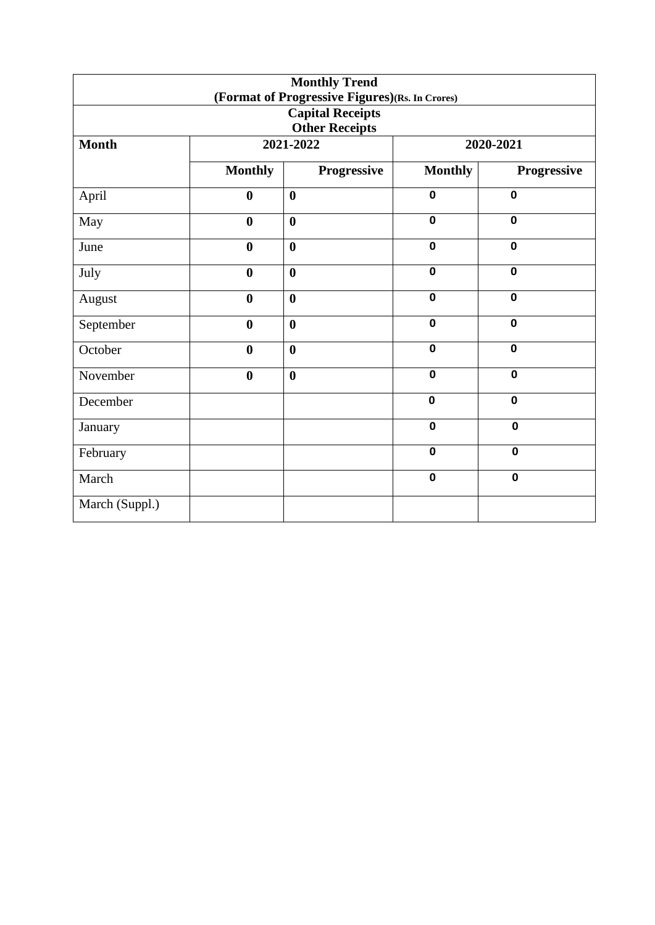| <b>Monthly Trend</b><br>(Format of Progressive Figures)(Rs. In Crores) |                       |                         |                |             |  |  |
|------------------------------------------------------------------------|-----------------------|-------------------------|----------------|-------------|--|--|
|                                                                        |                       | <b>Capital Receipts</b> |                |             |  |  |
|                                                                        | <b>Other Receipts</b> |                         |                |             |  |  |
| <b>Month</b>                                                           |                       | 2021-2022               |                | 2020-2021   |  |  |
|                                                                        | <b>Monthly</b>        | Progressive             | <b>Monthly</b> | Progressive |  |  |
| April                                                                  | $\boldsymbol{0}$      | $\boldsymbol{0}$        | $\mathbf 0$    | $\mathbf 0$ |  |  |
| May                                                                    | $\boldsymbol{0}$      | $\boldsymbol{0}$        | $\mathbf 0$    | $\mathbf 0$ |  |  |
| June                                                                   | $\boldsymbol{0}$      | $\boldsymbol{0}$        | $\mathbf 0$    | $\mathbf 0$ |  |  |
| July                                                                   | $\boldsymbol{0}$      | $\boldsymbol{0}$        | $\mathbf 0$    | $\mathbf 0$ |  |  |
| August                                                                 | $\boldsymbol{0}$      | $\boldsymbol{0}$        | $\mathbf 0$    | $\mathbf 0$ |  |  |
| September                                                              | $\boldsymbol{0}$      | $\boldsymbol{0}$        | $\mathbf 0$    | $\mathbf 0$ |  |  |
| October                                                                | $\boldsymbol{0}$      | $\boldsymbol{0}$        | $\mathbf 0$    | 0           |  |  |
| November                                                               | $\boldsymbol{0}$      | $\boldsymbol{0}$        | $\mathbf 0$    | $\mathbf 0$ |  |  |
| December                                                               |                       |                         | $\mathbf 0$    | $\mathbf 0$ |  |  |
| January                                                                |                       |                         | $\mathbf 0$    | $\mathbf 0$ |  |  |
| February                                                               |                       |                         | $\mathbf 0$    | $\mathbf 0$ |  |  |
| March                                                                  |                       |                         | $\mathbf 0$    | $\mathbf 0$ |  |  |
| March (Suppl.)                                                         |                       |                         |                |             |  |  |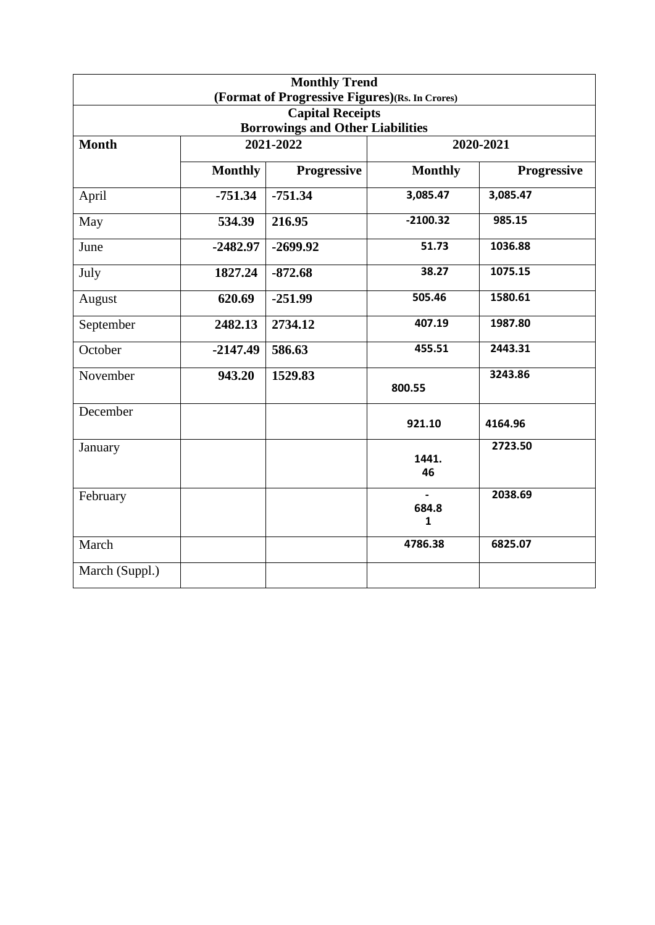|                |                | <b>Monthly Trend</b><br>(Format of Progressive Figures)(Rs. In Crores) |                |             |
|----------------|----------------|------------------------------------------------------------------------|----------------|-------------|
|                |                | <b>Capital Receipts</b>                                                |                |             |
|                |                | <b>Borrowings and Other Liabilities</b>                                |                |             |
| <b>Month</b>   |                | 2021-2022                                                              |                | 2020-2021   |
|                | <b>Monthly</b> | <b>Progressive</b>                                                     | <b>Monthly</b> | Progressive |
| April          | $-751.34$      | $-751.34$                                                              | 3,085.47       | 3,085.47    |
| May            | 534.39         | 216.95                                                                 | $-2100.32$     | 985.15      |
| June           | $-2482.97$     | $-2699.92$                                                             | 51.73          | 1036.88     |
| July           | 1827.24        | $-872.68$                                                              | 38.27          | 1075.15     |
| August         | 620.69         | $-251.99$                                                              | 505.46         | 1580.61     |
| September      | 2482.13        | 2734.12                                                                | 407.19         | 1987.80     |
| October        | $-2147.49$     | 586.63                                                                 | 455.51         | 2443.31     |
| November       | 943.20         | 1529.83                                                                | 800.55         | 3243.86     |
| December       |                |                                                                        | 921.10         | 4164.96     |
| January        |                |                                                                        | 1441.<br>46    | 2723.50     |
| February       |                |                                                                        | 684.8<br>1     | 2038.69     |
| March          |                |                                                                        | 4786.38        | 6825.07     |
| March (Suppl.) |                |                                                                        |                |             |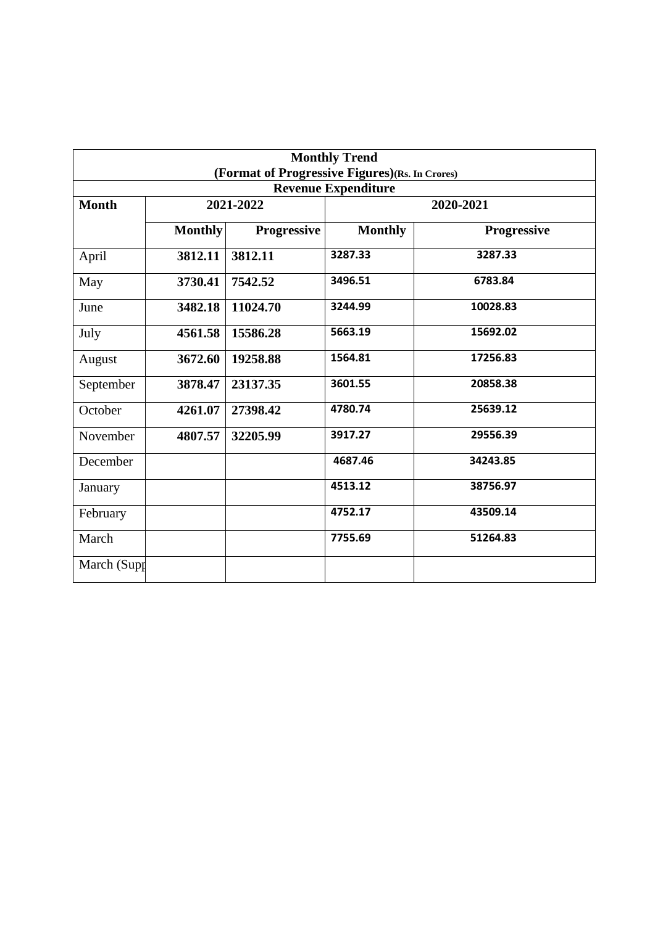| <b>Monthly Trend</b><br>(Format of Progressive Figures)(Rs. In Crores) |                |             |                            |             |  |
|------------------------------------------------------------------------|----------------|-------------|----------------------------|-------------|--|
|                                                                        |                |             | <b>Revenue Expenditure</b> |             |  |
| <b>Month</b>                                                           |                | 2021-2022   |                            | 2020-2021   |  |
|                                                                        | <b>Monthly</b> | Progressive | <b>Monthly</b>             | Progressive |  |
| April                                                                  | 3812.11        | 3812.11     | 3287.33                    | 3287.33     |  |
| May                                                                    | 3730.41        | 7542.52     | 3496.51                    | 6783.84     |  |
| June                                                                   | 3482.18        | 11024.70    | 3244.99                    | 10028.83    |  |
| July                                                                   | 4561.58        | 15586.28    | 5663.19                    | 15692.02    |  |
| August                                                                 | 3672.60        | 19258.88    | 1564.81                    | 17256.83    |  |
| September                                                              | 3878.47        | 23137.35    | 3601.55                    | 20858.38    |  |
| October                                                                | 4261.07        | 27398.42    | 4780.74                    | 25639.12    |  |
| November                                                               | 4807.57        | 32205.99    | 3917.27                    | 29556.39    |  |
| December                                                               |                |             | 4687.46                    | 34243.85    |  |
| January                                                                |                |             | 4513.12                    | 38756.97    |  |
| February                                                               |                |             | 4752.17                    | 43509.14    |  |
| March                                                                  |                |             | 7755.69                    | 51264.83    |  |
| March (Supp                                                            |                |             |                            |             |  |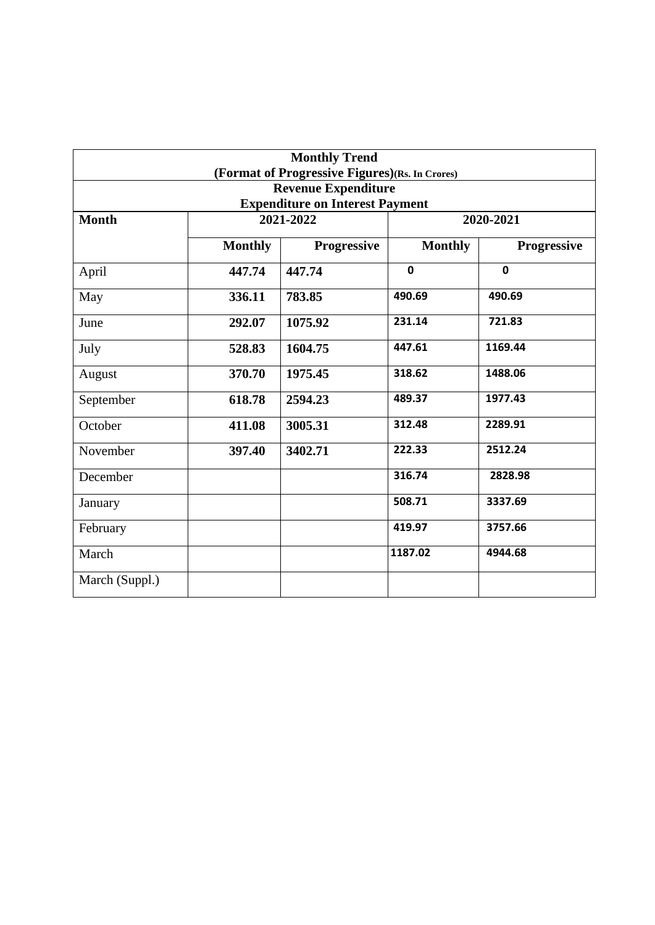|                |                | <b>Monthly Trend</b>                           |                |             |
|----------------|----------------|------------------------------------------------|----------------|-------------|
|                |                | (Format of Progressive Figures)(Rs. In Crores) |                |             |
|                |                | <b>Revenue Expenditure</b>                     |                |             |
|                |                | <b>Expenditure on Interest Payment</b>         |                |             |
| <b>Month</b>   |                | 2021-2022                                      |                | 2020-2021   |
|                | <b>Monthly</b> | <b>Progressive</b>                             | <b>Monthly</b> | Progressive |
| April          | 447.74         | 447.74                                         | $\mathbf 0$    | $\mathbf 0$ |
| May            | 336.11         | 783.85                                         | 490.69         | 490.69      |
| June           | 292.07         | 1075.92                                        | 231.14         | 721.83      |
| July           | 528.83         | 1604.75                                        | 447.61         | 1169.44     |
| August         | 370.70         | 1975.45                                        | 318.62         | 1488.06     |
| September      | 618.78         | 2594.23                                        | 489.37         | 1977.43     |
| October        | 411.08         | 3005.31                                        | 312.48         | 2289.91     |
| November       | 397.40         | 3402.71                                        | 222.33         | 2512.24     |
| December       |                |                                                | 316.74         | 2828.98     |
| January        |                |                                                | 508.71         | 3337.69     |
| February       |                |                                                | 419.97         | 3757.66     |
| March          |                |                                                | 1187.02        | 4944.68     |
| March (Suppl.) |                |                                                |                |             |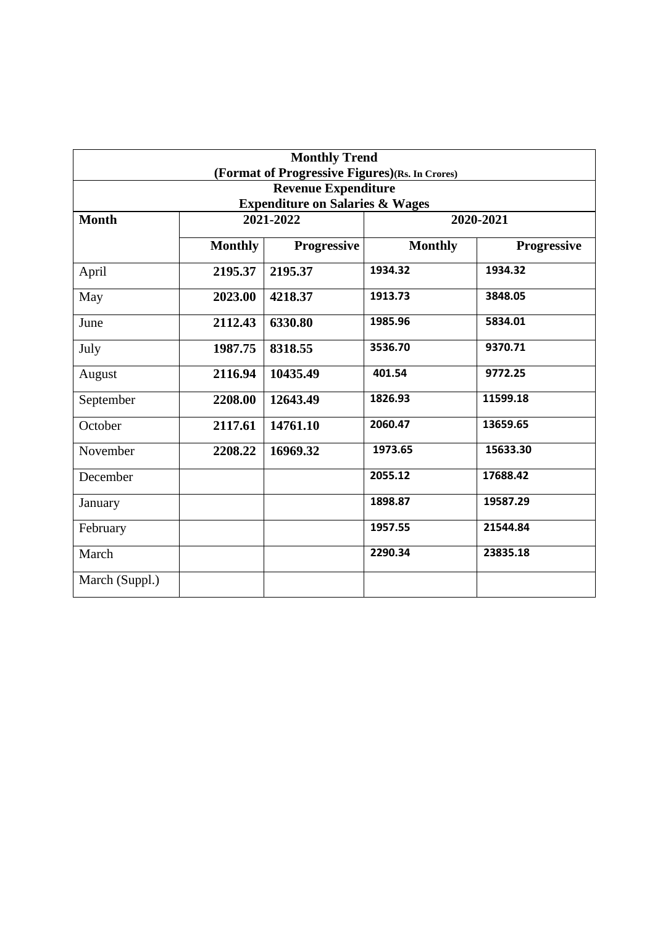|                |                | <b>Monthly Trend</b><br>(Format of Progressive Figures)(Rs. In Crores) |                |                    |
|----------------|----------------|------------------------------------------------------------------------|----------------|--------------------|
|                |                | <b>Revenue Expenditure</b>                                             |                |                    |
|                |                | <b>Expenditure on Salaries &amp; Wages</b>                             |                |                    |
| <b>Month</b>   |                | 2021-2022                                                              |                | 2020-2021          |
|                |                |                                                                        |                |                    |
|                | <b>Monthly</b> | <b>Progressive</b>                                                     | <b>Monthly</b> | <b>Progressive</b> |
| April          | 2195.37        | 2195.37                                                                | 1934.32        | 1934.32            |
| May            | 2023.00        | 4218.37                                                                | 1913.73        | 3848.05            |
| June           | 2112.43        | 6330.80                                                                | 1985.96        | 5834.01            |
| July           | 1987.75        | 8318.55                                                                | 3536.70        | 9370.71            |
| August         | 2116.94        | 10435.49                                                               | 401.54         | 9772.25            |
| September      | 2208.00        | 12643.49                                                               | 1826.93        | 11599.18           |
| October        | 2117.61        | 14761.10                                                               | 2060.47        | 13659.65           |
| November       | 2208.22        | 16969.32                                                               | 1973.65        | 15633.30           |
| December       |                |                                                                        | 2055.12        | 17688.42           |
| January        |                |                                                                        | 1898.87        | 19587.29           |
| February       |                |                                                                        | 1957.55        | 21544.84           |
| March          |                |                                                                        | 2290.34        | 23835.18           |
| March (Suppl.) |                |                                                                        |                |                    |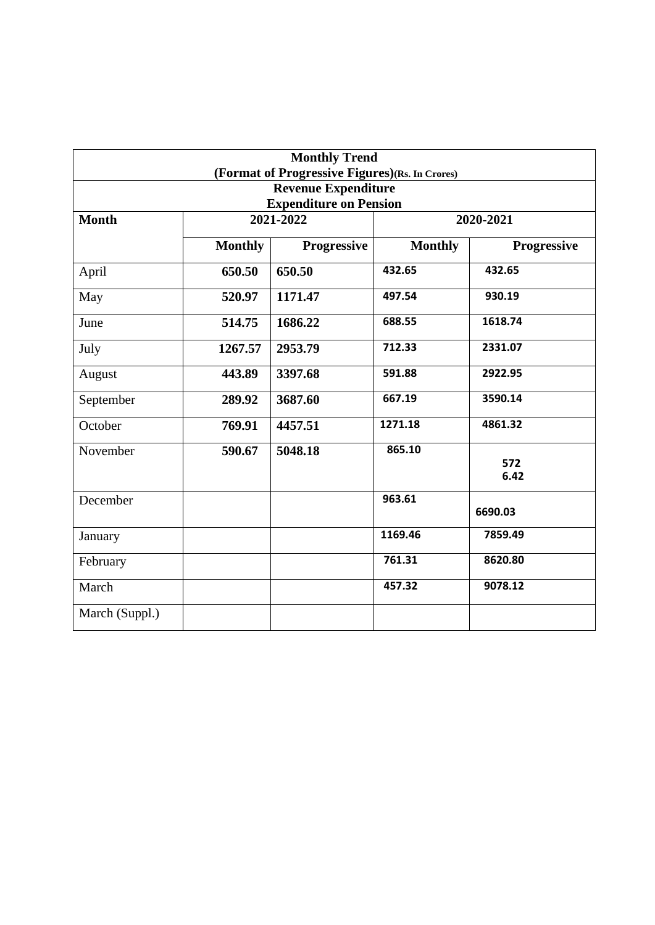|                |                               | <b>Monthly Trend</b><br>(Format of Progressive Figures)(Rs. In Crores) |                |                    |  |  |  |
|----------------|-------------------------------|------------------------------------------------------------------------|----------------|--------------------|--|--|--|
|                |                               | <b>Revenue Expenditure</b>                                             |                |                    |  |  |  |
|                | <b>Expenditure on Pension</b> |                                                                        |                |                    |  |  |  |
| <b>Month</b>   |                               | 2021-2022                                                              |                | 2020-2021          |  |  |  |
|                | <b>Monthly</b>                | <b>Progressive</b>                                                     | <b>Monthly</b> | <b>Progressive</b> |  |  |  |
| April          | 650.50                        | 650.50                                                                 | 432.65         | 432.65             |  |  |  |
| May            | 520.97                        | 1171.47                                                                | 497.54         | 930.19             |  |  |  |
| June           | 514.75                        | 1686.22                                                                | 688.55         | 1618.74            |  |  |  |
| July           | 1267.57                       | 2953.79                                                                | 712.33         | 2331.07            |  |  |  |
| August         | 443.89                        | 3397.68                                                                | 591.88         | 2922.95            |  |  |  |
| September      | 289.92                        | 3687.60                                                                | 667.19         | 3590.14            |  |  |  |
| October        | 769.91                        | 4457.51                                                                | 1271.18        | 4861.32            |  |  |  |
| November       | 590.67                        | 5048.18                                                                | 865.10         | 572<br>6.42        |  |  |  |
| December       |                               |                                                                        | 963.61         | 6690.03            |  |  |  |
| January        |                               |                                                                        | 1169.46        | 7859.49            |  |  |  |
| February       |                               |                                                                        | 761.31         | 8620.80            |  |  |  |
| March          |                               |                                                                        | 457.32         | 9078.12            |  |  |  |
| March (Suppl.) |                               |                                                                        |                |                    |  |  |  |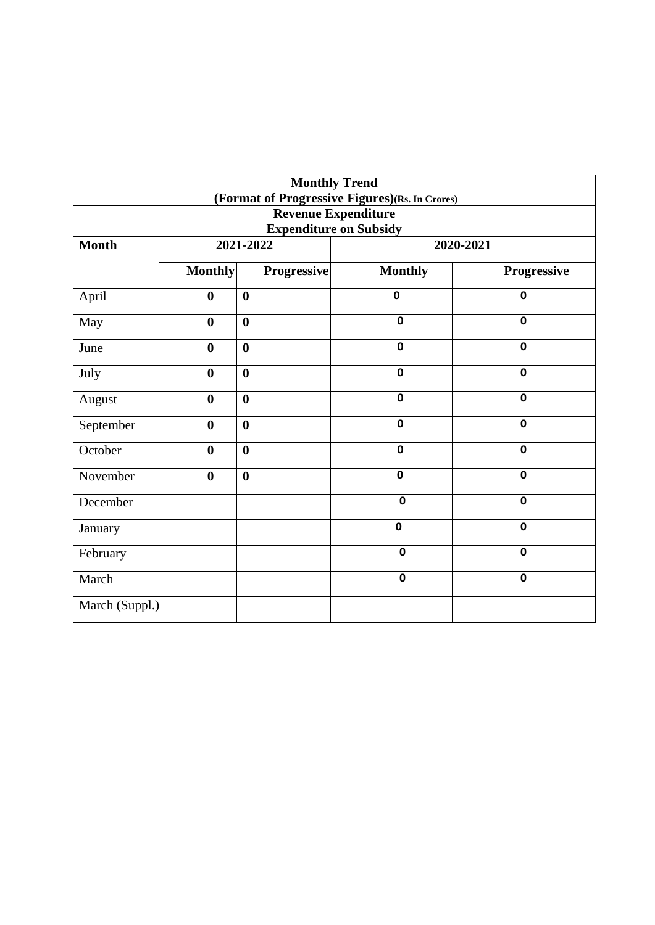| <b>Monthly Trend</b><br>(Format of Progressive Figures)(Rs. In Crores) |                               |                  |                |             |  |
|------------------------------------------------------------------------|-------------------------------|------------------|----------------|-------------|--|
| <b>Revenue Expenditure</b><br><b>Expenditure on Subsidy</b>            |                               |                  |                |             |  |
| <b>Month</b>                                                           |                               | 2021-2022        |                | 2020-2021   |  |
|                                                                        | <b>Monthly</b><br>Progressive |                  | <b>Monthly</b> | Progressive |  |
| April                                                                  | $\bf{0}$                      | $\boldsymbol{0}$ | $\mathbf 0$    | $\mathbf 0$ |  |
| May                                                                    | $\boldsymbol{0}$              | $\boldsymbol{0}$ | $\mathbf 0$    | $\mathbf 0$ |  |
| June                                                                   | $\bf{0}$                      | $\bf{0}$         | $\mathbf 0$    | $\mathbf 0$ |  |
| July                                                                   | $\boldsymbol{0}$              | $\boldsymbol{0}$ | $\mathbf 0$    | $\mathbf 0$ |  |
| August                                                                 | $\bf{0}$                      | $\boldsymbol{0}$ | $\mathbf 0$    | $\mathbf 0$ |  |
| September                                                              | $\bf{0}$                      | $\boldsymbol{0}$ | $\mathbf 0$    | $\mathbf 0$ |  |
| October                                                                | $\bf{0}$                      | $\bf{0}$         | $\mathbf 0$    | $\mathbf 0$ |  |
| November                                                               | $\boldsymbol{0}$              | $\boldsymbol{0}$ | $\mathbf 0$    | $\mathbf 0$ |  |
| December                                                               |                               |                  | $\mathbf 0$    | $\mathbf 0$ |  |
| January                                                                |                               |                  | $\mathbf 0$    | $\mathbf 0$ |  |
| February                                                               |                               |                  | $\mathbf 0$    | $\mathbf 0$ |  |
| March                                                                  |                               |                  | $\mathbf 0$    | $\mathbf 0$ |  |
| March (Suppl.)                                                         |                               |                  |                |             |  |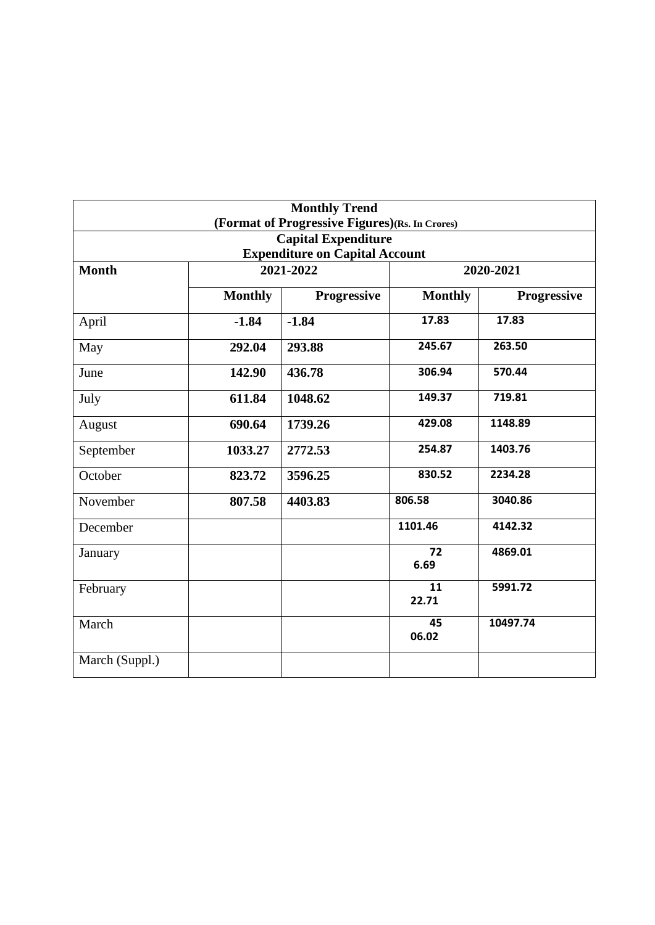|                                                    |                | <b>Monthly Trend</b>                                                         |                |                    |  |  |
|----------------------------------------------------|----------------|------------------------------------------------------------------------------|----------------|--------------------|--|--|
|                                                    |                | (Format of Progressive Figures)(Rs. In Crores)<br><b>Capital Expenditure</b> |                |                    |  |  |
|                                                    |                |                                                                              |                |                    |  |  |
| <b>Expenditure on Capital Account</b><br>2021-2022 |                |                                                                              |                |                    |  |  |
| <b>Month</b>                                       |                |                                                                              | 2020-2021      |                    |  |  |
|                                                    | <b>Monthly</b> | <b>Progressive</b>                                                           | <b>Monthly</b> | <b>Progressive</b> |  |  |
| April                                              | $-1.84$        | $-1.84$                                                                      | 17.83          | 17.83              |  |  |
| May                                                | 292.04         | 293.88                                                                       | 245.67         | 263.50             |  |  |
| June                                               | 142.90         | 436.78                                                                       | 306.94         | 570.44             |  |  |
| July                                               | 611.84         | 1048.62                                                                      | 149.37         | 719.81             |  |  |
| August                                             | 690.64         | 1739.26                                                                      | 429.08         | 1148.89            |  |  |
| September                                          | 1033.27        | 2772.53                                                                      | 254.87         | 1403.76            |  |  |
| October                                            | 823.72         | 3596.25                                                                      | 830.52         | 2234.28            |  |  |
| November                                           | 807.58         | 4403.83                                                                      | 806.58         | 3040.86            |  |  |
| December                                           |                |                                                                              | 1101.46        | 4142.32            |  |  |
| January                                            |                |                                                                              | 72<br>6.69     | 4869.01            |  |  |
| February                                           |                |                                                                              | 11<br>22.71    | 5991.72            |  |  |
| March                                              |                |                                                                              | 45<br>06.02    | 10497.74           |  |  |
| March (Suppl.)                                     |                |                                                                              |                |                    |  |  |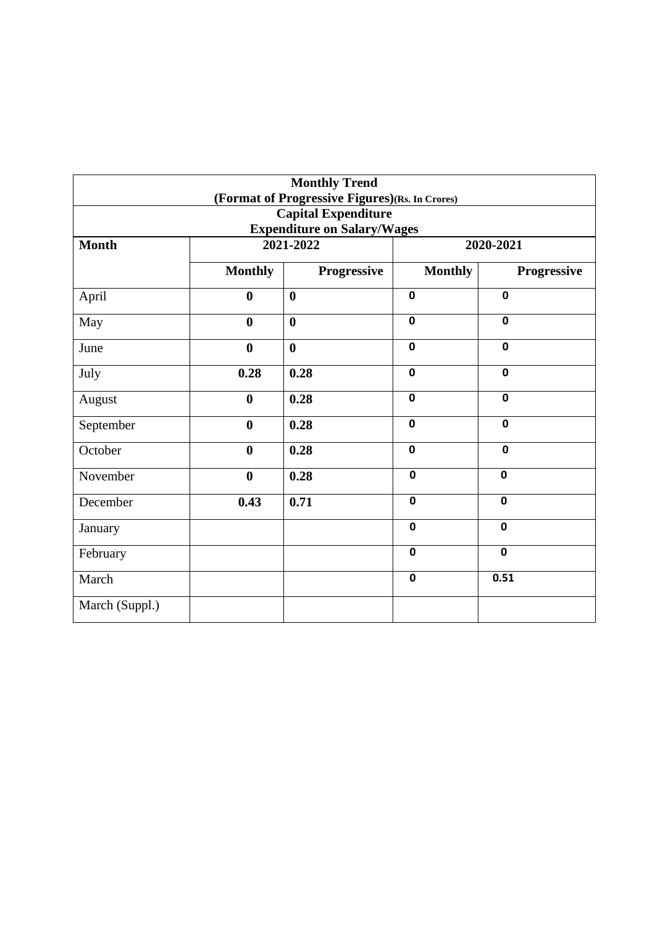|                |                  | <b>Monthly Trend</b>                           |                |             |  |
|----------------|------------------|------------------------------------------------|----------------|-------------|--|
|                |                  | (Format of Progressive Figures)(Rs. In Crores) |                |             |  |
|                |                  | <b>Capital Expenditure</b>                     |                |             |  |
|                |                  | <b>Expenditure on Salary/Wages</b>             |                |             |  |
| <b>Month</b>   |                  | 2021-2022                                      | 2020-2021      |             |  |
|                | <b>Monthly</b>   | Progressive                                    | <b>Monthly</b> | Progressive |  |
| April          | $\boldsymbol{0}$ | $\boldsymbol{0}$                               | $\mathbf 0$    | $\mathbf 0$ |  |
| May            | $\boldsymbol{0}$ | $\mathbf{0}$                                   | $\mathbf 0$    | $\mathbf 0$ |  |
| June           | $\boldsymbol{0}$ | $\mathbf{0}$                                   | $\mathbf 0$    | $\mathbf 0$ |  |
| July           | 0.28             | 0.28                                           | $\mathbf 0$    | $\mathbf 0$ |  |
| August         | $\boldsymbol{0}$ | 0.28                                           | $\mathbf 0$    | $\mathbf 0$ |  |
| September      | $\boldsymbol{0}$ | 0.28                                           | $\mathbf 0$    | $\mathbf 0$ |  |
| October        | $\bf{0}$         | 0.28                                           | $\mathbf 0$    | $\mathbf 0$ |  |
| November       | $\mathbf{0}$     | 0.28                                           | $\mathbf 0$    | $\mathbf 0$ |  |
| December       | 0.43             | 0.71                                           | $\mathbf 0$    | $\mathbf 0$ |  |
| January        |                  |                                                | $\mathbf 0$    | $\mathbf 0$ |  |
| February       |                  |                                                | $\mathbf 0$    | $\mathbf 0$ |  |
| March          |                  |                                                | $\mathbf 0$    | 0.51        |  |
| March (Suppl.) |                  |                                                |                |             |  |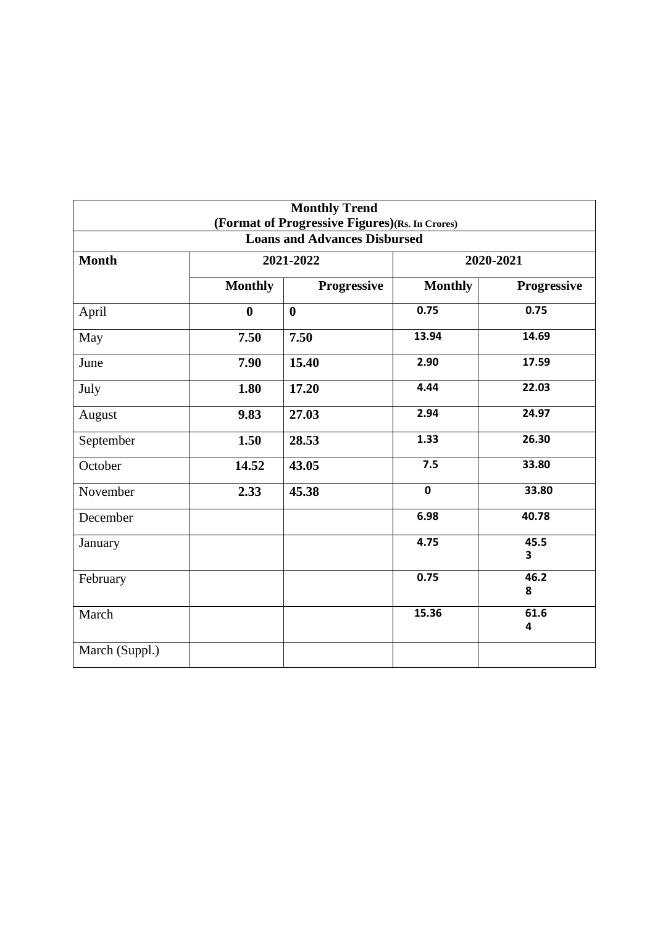|                                     |                | <b>Monthly Trend</b>                           |                         |             |  |  |
|-------------------------------------|----------------|------------------------------------------------|-------------------------|-------------|--|--|
|                                     |                | (Format of Progressive Figures)(Rs. In Crores) |                         |             |  |  |
| <b>Loans and Advances Disbursed</b> |                |                                                |                         |             |  |  |
| <b>Month</b>                        |                | 2021-2022                                      | 2020-2021               |             |  |  |
|                                     | <b>Monthly</b> | Progressive                                    | <b>Monthly</b>          | Progressive |  |  |
| April                               | $\bf{0}$       | $\boldsymbol{0}$                               | 0.75                    | 0.75        |  |  |
| May                                 | 7.50           | 7.50                                           | 13.94                   | 14.69       |  |  |
| June                                | 7.90           | 15.40                                          | 2.90                    | 17.59       |  |  |
| July                                | 1.80           | 17.20                                          | 4.44                    | 22.03       |  |  |
| August                              | 9.83           | 27.03                                          | 2.94                    | 24.97       |  |  |
| September                           | 1.50           | 28.53                                          | 1.33                    | 26.30       |  |  |
| October                             | 14.52          | 43.05                                          | 7.5                     | 33.80       |  |  |
| November                            | 2.33           | 45.38                                          | $\overline{\mathbf{0}}$ | 33.80       |  |  |
| December                            |                |                                                | 6.98                    | 40.78       |  |  |
| January                             |                |                                                | 4.75                    | 45.5<br>3   |  |  |
| February                            |                |                                                | 0.75                    | 46.2<br>8   |  |  |
| March                               |                |                                                | 15.36                   | 61.6<br>4   |  |  |
| March (Suppl.)                      |                |                                                |                         |             |  |  |